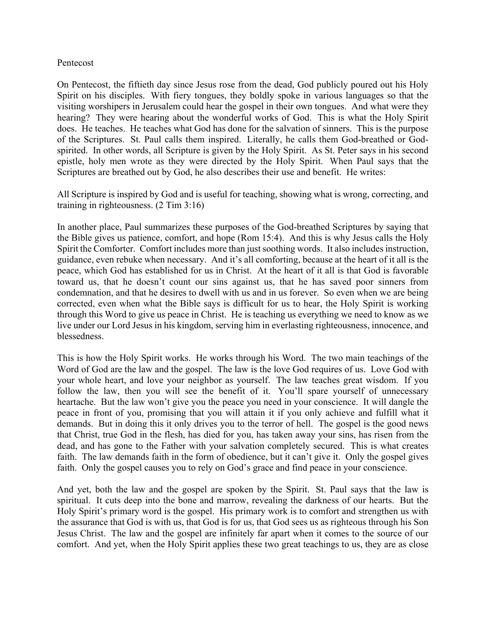## Pentecost

On Pentecost, the fiftieth day since Jesus rose from the dead, God publicly poured out his Holy Spirit on his disciples. With fiery tongues, they boldly spoke in various languages so that the visiting worshipers in Jerusalem could hear the gospel in their own tongues. And what were they hearing? They were hearing about the wonderful works of God. This is what the Holy Spirit does. He teaches. He teaches what God has done for the salvation of sinners. This is the purpose of the Scriptures. St. Paul calls them inspired. Literally, he calls them God-breathed or Godspirited. In other words, all Scripture is given by the Holy Spirit. As St. Peter says in his second epistle, holy men wrote as they were directed by the Holy Spirit. When Paul says that the Scriptures are breathed out by God, he also describes their use and benefit. He writes:

All Scripture is inspired by God and is useful for teaching, showing what is wrong, correcting, and training in righteousness. (2 Tim 3:16)

In another place, Paul summarizes these purposes of the God-breathed Scriptures by saying that the Bible gives us patience, comfort, and hope (Rom 15:4). And this is why Jesus calls the Holy Spirit the Comforter. Comfort includes more than just soothing words. It also includes instruction, guidance, even rebuke when necessary. And it's all comforting, because at the heart of it all is the peace, which God has established for us in Christ. At the heart of it all is that God is favorable toward us, that he doesn't count our sins against us, that he has saved poor sinners from condemnation, and that he desires to dwell with us and in us forever. So even when we are being corrected, even when what the Bible says is difficult for us to hear, the Holy Spirit is working through this Word to give us peace in Christ. He is teaching us everything we need to know as we live under our Lord Jesus in his kingdom, serving him in everlasting righteousness, innocence, and blessedness.

This is how the Holy Spirit works. He works through his Word. The two main teachings of the Word of God are the law and the gospel. The law is the love God requires of us. Love God with your whole heart, and love your neighbor as yourself. The law teaches great wisdom. If you follow the law, then you will see the benefit of it. You'll spare yourself of unnecessary heartache. But the law won't give you the peace you need in your conscience. It will dangle the peace in front of you, promising that you will attain it if you only achieve and fulfill what it demands. But in doing this it only drives you to the terror of hell. The gospel is the good news that Christ, true God in the flesh, has died for you, has taken away your sins, has risen from the dead, and has gone to the Father with your salvation completely secured. This is what creates faith. The law demands faith in the form of obedience, but it can't give it. Only the gospel gives faith. Only the gospel causes you to rely on God's grace and find peace in your conscience.

And yet, both the law and the gospel are spoken by the Spirit. St. Paul says that the law is spiritual. It cuts deep into the bone and marrow, revealing the darkness of our hearts. But the Holy Spirit's primary word is the gospel. His primary work is to comfort and strengthen us with the assurance that God is with us, that God is for us, that God sees us as righteous through his Son Jesus Christ. The law and the gospel are infinitely far apart when it comes to the source of our comfort. And yet, when the Holy Spirit applies these two great teachings to us, they are as close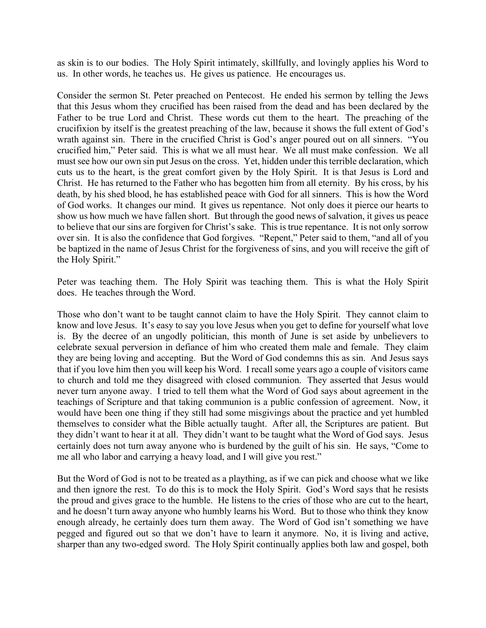as skin is to our bodies. The Holy Spirit intimately, skillfully, and lovingly applies his Word to us. In other words, he teaches us. He gives us patience. He encourages us.

Consider the sermon St. Peter preached on Pentecost. He ended his sermon by telling the Jews that this Jesus whom they crucified has been raised from the dead and has been declared by the Father to be true Lord and Christ. These words cut them to the heart. The preaching of the crucifixion by itself is the greatest preaching of the law, because it shows the full extent of God's wrath against sin. There in the crucified Christ is God's anger poured out on all sinners. "You crucified him," Peter said. This is what we all must hear. We all must make confession. We all must see how our own sin put Jesus on the cross. Yet, hidden under this terrible declaration, which cuts us to the heart, is the great comfort given by the Holy Spirit. It is that Jesus is Lord and Christ. He has returned to the Father who has begotten him from all eternity. By his cross, by his death, by his shed blood, he has established peace with God for all sinners. This is how the Word of God works. It changes our mind. It gives us repentance. Not only does it pierce our hearts to show us how much we have fallen short. But through the good news of salvation, it gives us peace to believe that our sins are forgiven for Christ's sake. This is true repentance. It is not only sorrow over sin. It is also the confidence that God forgives. "Repent," Peter said to them, "and all of you be baptized in the name of Jesus Christ for the forgiveness of sins, and you will receive the gift of the Holy Spirit."

Peter was teaching them. The Holy Spirit was teaching them. This is what the Holy Spirit does. He teaches through the Word.

Those who don't want to be taught cannot claim to have the Holy Spirit. They cannot claim to know and love Jesus. It's easy to say you love Jesus when you get to define for yourself what love is. By the decree of an ungodly politician, this month of June is set aside by unbelievers to celebrate sexual perversion in defiance of him who created them male and female. They claim they are being loving and accepting. But the Word of God condemns this as sin. And Jesus says that if you love him then you will keep his Word. I recall some years ago a couple of visitors came to church and told me they disagreed with closed communion. They asserted that Jesus would never turn anyone away. I tried to tell them what the Word of God says about agreement in the teachings of Scripture and that taking communion is a public confession of agreement. Now, it would have been one thing if they still had some misgivings about the practice and yet humbled themselves to consider what the Bible actually taught. After all, the Scriptures are patient. But they didn't want to hear it at all. They didn't want to be taught what the Word of God says. Jesus certainly does not turn away anyone who is burdened by the guilt of his sin. He says, "Come to me all who labor and carrying a heavy load, and I will give you rest."

But the Word of God is not to be treated as a plaything, as if we can pick and choose what we like and then ignore the rest. To do this is to mock the Holy Spirit. God's Word says that he resists the proud and gives grace to the humble. He listens to the cries of those who are cut to the heart, and he doesn't turn away anyone who humbly learns his Word. But to those who think they know enough already, he certainly does turn them away. The Word of God isn't something we have pegged and figured out so that we don't have to learn it anymore. No, it is living and active, sharper than any two-edged sword. The Holy Spirit continually applies both law and gospel, both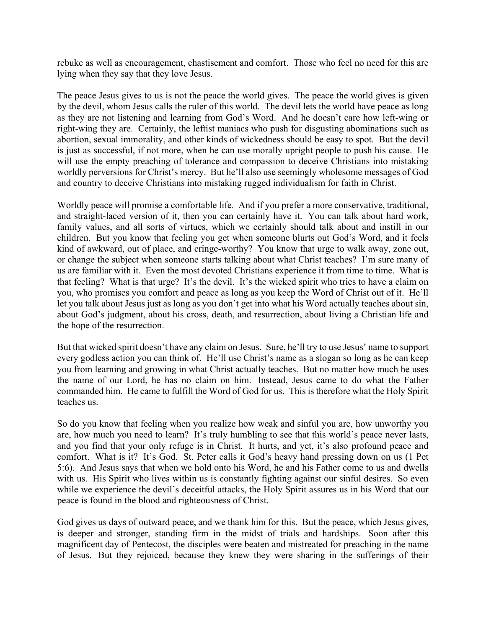rebuke as well as encouragement, chastisement and comfort. Those who feel no need for this are lying when they say that they love Jesus.

The peace Jesus gives to us is not the peace the world gives. The peace the world gives is given by the devil, whom Jesus calls the ruler of this world. The devil lets the world have peace as long as they are not listening and learning from God's Word. And he doesn't care how left-wing or right-wing they are. Certainly, the leftist maniacs who push for disgusting abominations such as abortion, sexual immorality, and other kinds of wickedness should be easy to spot. But the devil is just as successful, if not more, when he can use morally upright people to push his cause. He will use the empty preaching of tolerance and compassion to deceive Christians into mistaking worldly perversions for Christ's mercy. But he'll also use seemingly wholesome messages of God and country to deceive Christians into mistaking rugged individualism for faith in Christ.

Worldly peace will promise a comfortable life. And if you prefer a more conservative, traditional, and straight-laced version of it, then you can certainly have it. You can talk about hard work, family values, and all sorts of virtues, which we certainly should talk about and instill in our children. But you know that feeling you get when someone blurts out God's Word, and it feels kind of awkward, out of place, and cringe-worthy? You know that urge to walk away, zone out, or change the subject when someone starts talking about what Christ teaches? I'm sure many of us are familiar with it. Even the most devoted Christians experience it from time to time. What is that feeling? What is that urge? It's the devil. It's the wicked spirit who tries to have a claim on you, who promises you comfort and peace as long as you keep the Word of Christ out of it. He'll let you talk about Jesus just as long as you don't get into what his Word actually teaches about sin, about God's judgment, about his cross, death, and resurrection, about living a Christian life and the hope of the resurrection.

But that wicked spirit doesn't have any claim on Jesus. Sure, he'll try to use Jesus' name to support every godless action you can think of. He'll use Christ's name as a slogan so long as he can keep you from learning and growing in what Christ actually teaches. But no matter how much he uses the name of our Lord, he has no claim on him. Instead, Jesus came to do what the Father commanded him. He came to fulfill the Word of God for us. This is therefore what the Holy Spirit teaches us.

So do you know that feeling when you realize how weak and sinful you are, how unworthy you are, how much you need to learn? It's truly humbling to see that this world's peace never lasts, and you find that your only refuge is in Christ. It hurts, and yet, it's also profound peace and comfort. What is it? It's God. St. Peter calls it God's heavy hand pressing down on us (1 Pet 5:6). And Jesus says that when we hold onto his Word, he and his Father come to us and dwells with us. His Spirit who lives within us is constantly fighting against our sinful desires. So even while we experience the devil's deceitful attacks, the Holy Spirit assures us in his Word that our peace is found in the blood and righteousness of Christ.

God gives us days of outward peace, and we thank him for this. But the peace, which Jesus gives, is deeper and stronger, standing firm in the midst of trials and hardships. Soon after this magnificent day of Pentecost, the disciples were beaten and mistreated for preaching in the name of Jesus. But they rejoiced, because they knew they were sharing in the sufferings of their